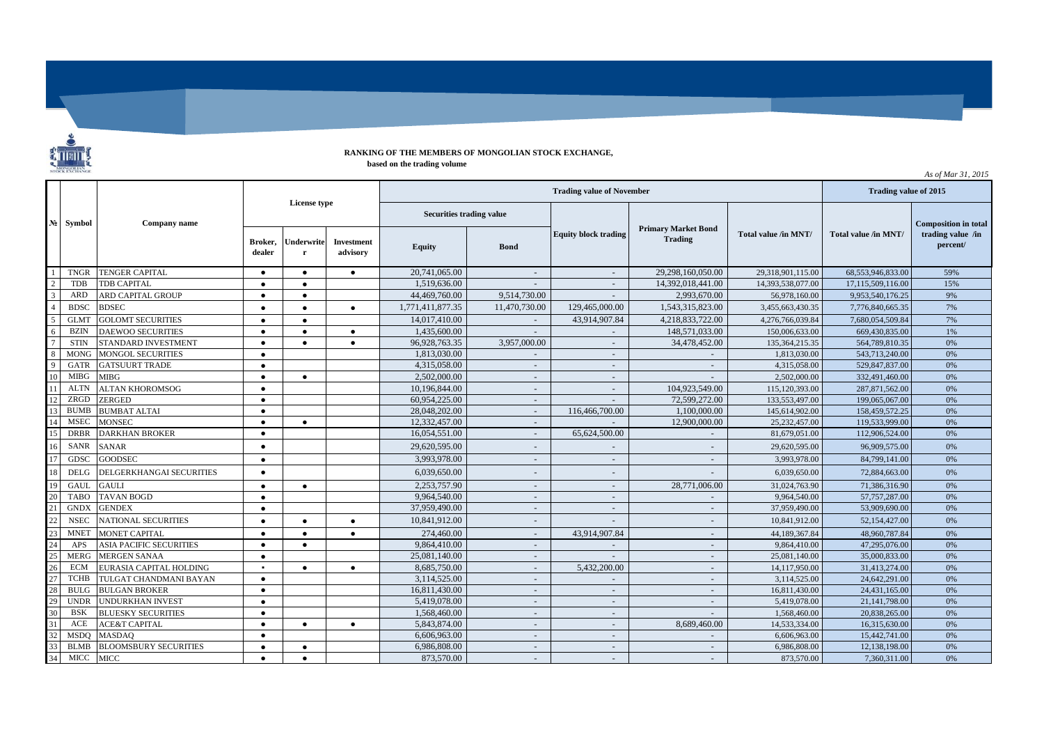

## **RANKING OF THE MEMBERS OF MONGOLIAN STOCK EXCHANGE, based on the trading volume**

**Broker, dealer Underwrite r Investment advisory Equity Bond** 1 TNGR TENGER CAPITAL ● ● ● 20,741,065.00 - - 29,298,160,050.00 29,318,901,115.00 68,553,946,833.00 59% 2 TDB TDB CAPITAL ● ● ● 1,519,636.00 - 14,392,018,441.00 14,393,538,077.00 17,115,509,116.00 15% 3 ARD ARD CAPITAL GROUP ● ● 44,469,760.00 9,514,730.00 - 2,993,670.00 56,978,160.00 9,953,540,176.25 9% 4 BDSC BDSEC ● ● ● ● 1,771,411,877.35 | 11,470,730.00 | 129,465,000.00 | 1,543,315,823.00 | 3,455,663,430.35 7,776,840,665.35 7% 5 GLMT GOLOMT SECURITIES ● ● ● 14,017,410.00 - 43,914,907.84 4,218,833,722.00 4,276,766,039.84 7,680,054,509.84 7% 6 BZIN DAEWOO SECURITIES ● ● ● 1,435,600.00 - 148,571,033.00 150,006,633.00 669,430,835.00 1% 7 STIN STANDARD INVESTMENT ● ● ● 96,928,763.35 3,957,000.00 - 34,478,452.00 135,364,215.35 564,789,810.35 0% 8 MONG MONGOL SECURITIES **•** 1,813,030.00 1,813,030.00 - 1,813,030.00 543,713,240.00 0% 9 GATR GATSUURT TRADE ● 4,315,058.00 - - - 4,315,058.00 529,847,837.00 0%  $10$  MIBG MIBG  $\qquad \qquad \bullet$   $\qquad \bullet$   $\qquad \bullet$   $\qquad \bullet$   $\qquad \qquad$   $\qquad \qquad$   $\qquad \qquad$   $\qquad \qquad$   $\qquad \qquad$   $\qquad \qquad$   $\qquad \qquad$   $\qquad \qquad$   $\qquad \qquad$   $\qquad \qquad$   $\qquad \qquad$   $\qquad \qquad$   $\qquad \qquad$   $\qquad \qquad$   $\qquad \qquad$   $\qquad \qquad$   $\qquad \qquad$   $\qquad \qquad$   $\qquad \qquad$  11 ALTN ALTAN KHOROMSOG ● | | 10,196,844.00 | | 104,923,549.00 | 115,120,393.00 287,871,562.00 | 0% 12 ZRGD ZERGED ● ● ● ● 60,954,225.00 ● ● 60,954,225.00 → ● 12,599,272.00 133,553,497.00 199,065,067.00 0% 13|BUMB BUMBAT ALTAI ● ● ● ● 28,048,202.00 | 28,048,202.00 | 116,466,700.00 | 1,100,000.00 | 145,614,902.00 | 158,459,572.25 | 0% 14 MSEC MONSEC ● 12,533,999.00 ● 12,332,457.00 → 12,332,457.00 → 12,900,000.00 25,232,457.00 119,533,999.00 0% 15 DRBR DARKHAN BROKER ● ● 16,054,551.00 16,054,551.00 | 65,624,500.00 | 81,679,051.00 | 112,906,524.00 | 112,906,524.00 0% 16 SANR SANAR ● ● ● ● 29,620,595.00 → ● 29,620,595.00 → ● ● 29,620,595.00 → 29,620,595.00 0% 17 GDSC GOODSEC ● 3,993,978.00 - - - 3,993,978.00 84,799,141.00 0% 18 DELG DELGERKHANGAI SECURITIES ● 6,039,650.00 - - - 6,039,650.00 72,884,663.00 0% 19 GAUL GAULI ● ● ● ● ● 2,253,757.90 - - 28,771,006.00 31,024,763.90 71,386,316.90 0% 20 TABO TAVAN BOGD ● 9,964,540.00 - - - 9,964,540.00 57,757,287.00 0% 21 GNDX GENDEX ● ● ● ● 37,959,490.00 → - ● 37,959,490.00 → - - 37,959,490.00 53,909,690.00 0% 22 NSEC NATIONAL SECURITIES ● ● ● ● 10,841,912.00 - - 10,841,912.00 52,154,427.00 0% 23 MNET MONET CAPITAL ● ● ● 274,460.00 - 43,914,907.84 - 44,189,367.84 48,960,787.84 0% 24 APS ASIA PACIFIC SECURITIES ● ● ● 9,864,410.00 - - ● 9,864,410.00 → 9,864,410.00 → 9,864,410.00 47,295,076.00 0% 25 MERG MERGEN SANAA ● 25,081,140.00 - - - 25,081,140.00 35,000,833.00 0% 26 ECM EURASIA CAPITAL HOLDING ▪ ● ● 8,685,750.00 → 5,432,200.00 → 14,117,950.00 31,413,274.00 0% 27 TCHB TULGAT CHANDMANI BAYAN ● 3,114,525.00 - - - 3,114,525.00 24,642,291.00 0% 28 BULG BULGAN BROKER ● 16,811,430.00 - - - 16,811,430.00 24,431,165.00 0% 29 UNDR UNDURKHAN INVEST ● 5,419,078.00 - - - 5,419,078.00 21,141,798.00 0% 30 BSK BLUESKY SECURITIES ● 1,568,460.00 - - - 1,568,460.00 20,838,265.00 0% 31 ACE ACE&T CAPITAL ● ● ● ● 5,843,874.00 - - ● 8,689,460.00 14,533,334.00 16,315,630.00 0% 32 MSDQ MASDAQ ● 6,606,963.00 - - - 6,606,963.00 15,442,741.00 0% 33 BLMB BLOOMSBURY SECURITIES ● ● 6,986,808.00 - - - 6,986,808.00 12,138,198.00 0% 34 MICC MICC ● ● 873,570.00 - - - 873,570.00 7,360,311.00 0% **№ License type Company name Total value /in MNT/ Symbol Primary Market Bond Trading Composition in total trading value /in percent/ Trading value of November Trading value of 2015 Total value /in MNT/ Securities trading value Equity block trading**

*As of Mar 31, 2015*